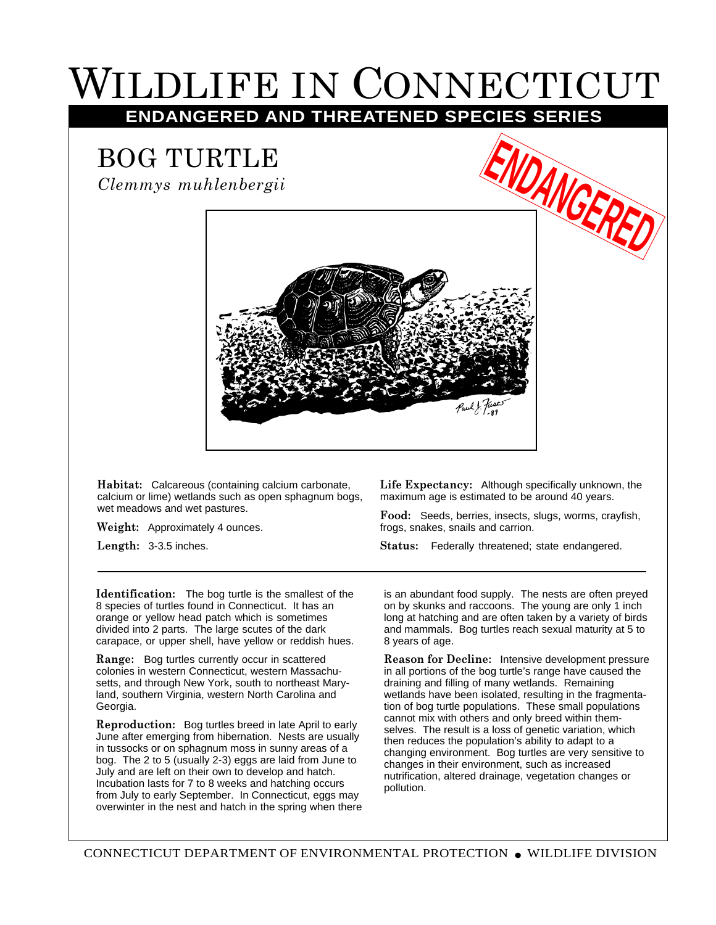## WILDLIFE IN CONNECTICUT

**ENDANGERED AND THREATENED SPECIES SERIES**

## BOG TURTLE

*Clemmys muhlenbergii*



**Habitat:** Calcareous (containing calcium carbonate, calcium or lime) wetlands such as open sphagnum bogs, wet meadows and wet pastures.

**Weight:** Approximately 4 ounces.

**Length:** 3-3.5 inches.

**Life Expectancy:** Although specifically unknown, the maximum age is estimated to be around 40 years.

**Food:** Seeds, berries, insects, slugs, worms, crayfish, frogs, snakes, snails and carrion.

**Status:** Federally threatened; state endangered.

**Identification:** The bog turtle is the smallest of the 8 species of turtles found in Connecticut. It has an orange or yellow head patch which is sometimes divided into 2 parts. The large scutes of the dark carapace, or upper shell, have yellow or reddish hues.

**Range:** Bog turtles currently occur in scattered colonies in western Connecticut, western Massachusetts, and through New York, south to northeast Maryland, southern Virginia, western North Carolina and Georgia.

**Reproduction:** Bog turtles breed in late April to early June after emerging from hibernation. Nests are usually in tussocks or on sphagnum moss in sunny areas of a bog. The 2 to 5 (usually 2-3) eggs are laid from June to July and are left on their own to develop and hatch. Incubation lasts for 7 to 8 weeks and hatching occurs from July to early September. In Connecticut, eggs may overwinter in the nest and hatch in the spring when there is an abundant food supply. The nests are often preyed on by skunks and raccoons. The young are only 1 inch long at hatching and are often taken by a variety of birds and mammals. Bog turtles reach sexual maturity at 5 to 8 years of age.

**Reason for Decline:** Intensive development pressure in all portions of the bog turtle's range have caused the draining and filling of many wetlands. Remaining wetlands have been isolated, resulting in the fragmentation of bog turtle populations. These small populations cannot mix with others and only breed within themselves. The result is a loss of genetic variation, which then reduces the population's ability to adapt to a changing environment. Bog turtles are very sensitive to changes in their environment, such as increased nutrification, altered drainage, vegetation changes or pollution.